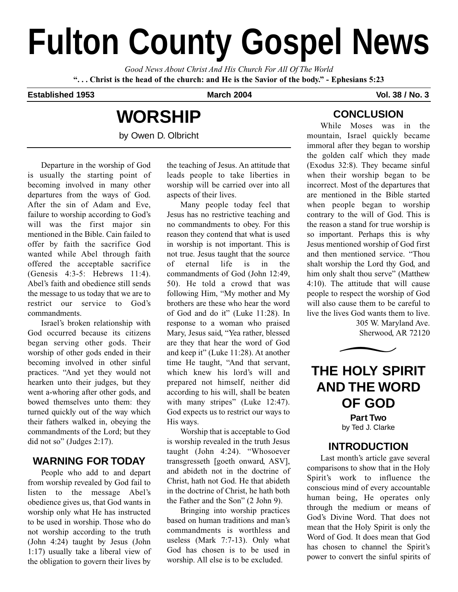# **Fulton County Gospel News**

*Good News About Christ And His Church For All Of The World* **". . . Christ is the head of the church: and He is the Savior of the body." - Ephesians 5:23**

#### **Established 1953 March 2004 Vol. 38 / No. 3**

## **WORSHIP**

by Owen D. Olbricht

Departure in the worship of God is usually the starting point of becoming involved in many other departures from the ways of God. After the sin of Adam and Eve, failure to worship according to God's will was the first major sin mentioned in the Bible. Cain failed to offer by faith the sacrifice God wanted while Abel through faith offered the acceptable sacrifice (Genesis 4:3-5: Hebrews 11:4). Abel's faith and obedience still sends the message to us today that we are to restrict our service to God's commandments.

Israel's broken relationship with God occurred because its citizens began serving other gods. Their worship of other gods ended in their becoming involved in other sinful practices. "And yet they would not hearken unto their judges, but they went a-whoring after other gods, and bowed themselves unto them: they turned quickly out of the way which their fathers walked in, obeying the commandments of the Lord; but they did not so" (Judges 2:17).

#### **WARNING FOR TODAY**

People who add to and depart from worship revealed by God fail to listen to the message Abel's obedience gives us, that God wants in worship only what He has instructed to be used in worship. Those who do not worship according to the truth (John 4:24) taught by Jesus (John 1:17) usually take a liberal view of the obligation to govern their lives by the teaching of Jesus. An attitude that leads people to take liberties in worship will be carried over into all aspects of their lives.

Many people today feel that Jesus has no restrictive teaching and no commandments to obey. For this reason they contend that what is used in worship is not important. This is not true. Jesus taught that the source of eternal life is in the commandments of God (John 12:49, 50). He told a crowd that was following Him, "My mother and My brothers are these who hear the word of God and do it" (Luke 11:28). In response to a woman who praised Mary, Jesus said, "Yea rather, blessed are they that hear the word of God and keep it" (Luke 11:28). At another time He taught, "And that servant, which knew his lord's will and prepared not himself, neither did according to his will, shall be beaten with many stripes" (Luke 12:47). God expects us to restrict our ways to His ways.

Worship that is acceptable to God is worship revealed in the truth Jesus taught (John 4:24). "Whosoever transgresseth [goeth onward, ASV], and abideth not in the doctrine of Christ, hath not God. He that abideth in the doctrine of Christ, he hath both the Father and the Son" (2 John 9).

Bringing into worship practices based on human traditions and man's commandments is worthless and useless (Mark 7:7-13). Only what God has chosen is to be used in worship. All else is to be excluded.

### **CONCLUSION**

While Moses was in the mountain, Israel quickly became immoral after they began to worship the golden calf which they made (Exodus 32:8). They became sinful when their worship began to be incorrect. Most of the departures that are mentioned in the Bible started when people began to worship contrary to the will of God. This is the reason a stand for true worship is so important. Perhaps this is why Jesus mentioned worship of God first and then mentioned service. "Thou shalt worship the Lord thy God, and him only shalt thou serve" (Matthew 4:10). The attitude that will cause people to respect the worship of God will also cause them to be careful to live the lives God wants them to live.

305 W. Maryland Ave.



## **THE HOLY SPIRIT AND THE WORD OF GOD Part Two** by Ted J. Clarke

#### **INTRODUCTION**

Last month's article gave several comparisons to show that in the Holy Spirit's work to influence the conscious mind of every accountable human being, He operates only through the medium or means of God's Divine Word. That does not mean that the Holy Spirit is only the Word of God. It does mean that God has chosen to channel the Spirit's power to convert the sinful spirits of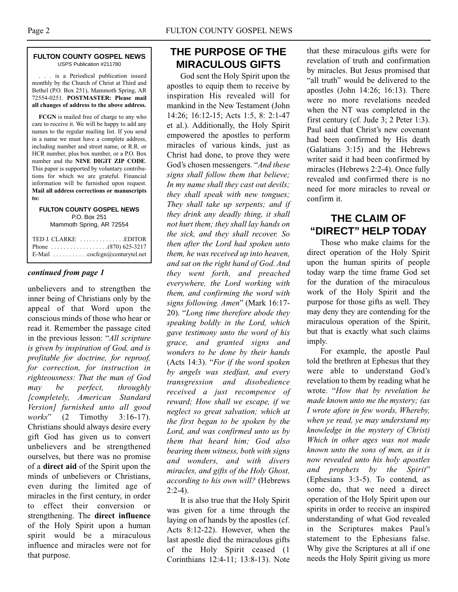#### **FULTON COUNTY GOSPEL NEWS** USPS Publication #211780

. . . is a Periodical publication issued monthly by the Church of Christ at Third and Bethel (P.O. Box 251), Mammoth Spring, AR 72554-0251. **POSTMASTER: Please mail all changes of address to the above address.**

**FCGN** is mailed free of charge to any who care to receive it. We will be happy to add any names to the regular mailing list. If you send in a name we must have a complete address, including number and street name, or R.R. or HCR number, plus box number, or a P.O. Box number and the **NINE DIGIT ZIP CODE**. This paper is supported by voluntary contributions for which we are grateful. Financial information will be furnished upon request. **Mail all address corrections or manuscripts to:**

**FULTON COUNTY GOSPEL NEWS** P.O. Box 251 Mammoth Spring, AR 72554

TED J. CLARKE . . . . . . . . . . . . . .EDITOR Phone . . . . . . . . . . . . . . . . . .(870) 625-3217 E-Mail . . . . . . . . . . .cocfcgn@centurytel.net

#### *continued from page 1*

unbelievers and to strengthen the inner being of Christians only by the appeal of that Word upon the conscious minds of those who hear or read it. Remember the passage cited in the previous lesson: "*All scripture is given by inspiration of God, and is profitable for doctrine, for reproof, for correction, for instruction in righteousness: That the man of God may be perfect, throughly [completely, American Standard Version] furnished unto all good works*" (2 Timothy 3:16-17). Christians should always desire every gift God has given us to convert unbelievers and be strengthened ourselves, but there was no promise of a **direct aid** of the Spirit upon the minds of unbelievers or Christians, even during the limited age of miracles in the first century, in order to effect their conversion or strengthening. The **direct influence** of the Holy Spirit upon a human spirit would be a miraculous influence and miracles were not for that purpose.

#### **THE PURPOSE OF THE MIRACULOUS GIFTS**

God sent the Holy Spirit upon the apostles to equip them to receive by inspiration His revealed will for mankind in the New Testament (John 14:26; 16:12-15; Acts 1:5, 8: 2:1-47 et al.). Additionally, the Holy Spirit empowered the apostles to perform miracles of various kinds, just as Christ had done, to prove they were God's chosen messengers. "*And these signs shall follow them that believe; In my name shall they cast out devils; they shall speak with new tongues; They shall take up serpents; and if they drink any deadly thing, it shall not hurt them; they shall lay hands on the sick, and they shall recover. So then after the Lord had spoken unto them, he was received up into heaven, and sat on the right hand of God. And they went forth, and preached everywhere, the Lord working with them, and confirming the word with signs following. Amen*" (Mark 16:17- 20). "*Long time therefore abode they speaking boldly in the Lord, which gave testimony unto the word of his grace, and granted signs and wonders to be done by their hands* (Acts 14:3). "*For if the word spoken by angels was stedfast, and every transgression and disobedience received a just recompence of reward; How shall we escape, if we neglect so great salvation; which at the first began to be spoken by the Lord, and was confirmed unto us by them that heard him; God also bearing them witness, both with signs and wonders, and with divers miracles, and gifts of the Holy Ghost, according to his own will?* (Hebrews  $2:2-4$ ).

It is also true that the Holy Spirit was given for a time through the laying on of hands by the apostles (cf. Acts 8:12-22). However, when the last apostle died the miraculous gifts of the Holy Spirit ceased (1 Corinthians 12:4-11; 13:8-13). Note that these miraculous gifts were for revelation of truth and confirmation by miracles. But Jesus promised that "all truth" would be delivered to the apostles (John 14:26; 16:13). There were no more revelations needed when the NT was completed in the first century (cf. Jude 3; 2 Peter 1:3). Paul said that Christ's new covenant had been confirmed by His death (Galatians 3:15) and the Hebrews writer said it had been confirmed by miracles (Hebrews 2:2-4). Once fully revealed and confirmed there is no need for more miracles to reveal or confirm it.

#### **THE CLAIM OF "DIRECT" HELP TODAY**

Those who make claims for the direct operation of the Holy Spirit upon the human spirits of people today warp the time frame God set for the duration of the miraculous work of the Holy Spirit and the purpose for those gifts as well. They may deny they are contending for the miraculous operation of the Spirit, but that is exactly what such claims imply.

For example, the apostle Paul told the brethren at Ephesus that they were able to understand God's revelation to them by reading what he wrote. "*How that by revelation he made known unto me the mystery; (as I wrote afore in few words, Whereby, when ye read, ye may understand my knowledge in the mystery of Christ) Which in other ages was not made known unto the sons of men, as it is now revealed unto his holy apostles and prophets by the Spirit*" (Ephesians 3:3-5). To contend, as some do, that we need a direct operation of the Holy Spirit upon our spirits in order to receive an inspired understanding of what God revealed in the Scriptures makes Paul's statement to the Ephesians false. Why give the Scriptures at all if one needs the Holy Spirit giving us more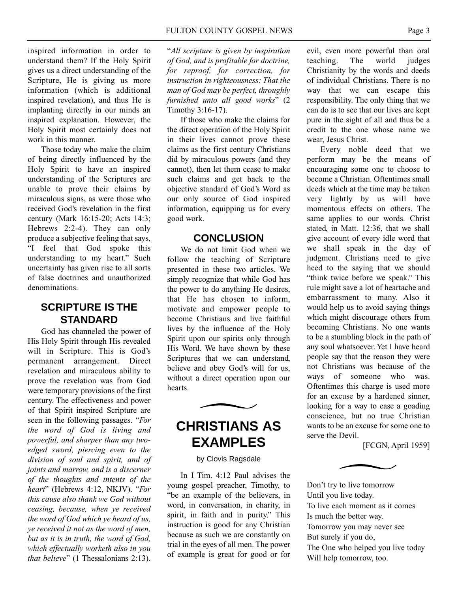inspired information in order to understand them? If the Holy Spirit gives us a direct understanding of the Scripture, He is giving us more information (which is additional inspired revelation), and thus He is implanting directly in our minds an inspired explanation. However, the Holy Spirit most certainly does not work in this manner.

Those today who make the claim of being directly influenced by the Holy Spirit to have an inspired understanding of the Scriptures are unable to prove their claims by miraculous signs, as were those who received God's revelation in the first century (Mark 16:15-20; Acts 14:3; Hebrews 2:2-4). They can only produce a subjective feeling that says, "I feel that God spoke this understanding to my heart." Such uncertainty has given rise to all sorts of false doctrines and unauthorized denominations.

#### **SCRIPTURE IS THE STANDARD**

God has channeled the power of His Holy Spirit through His revealed will in Scripture. This is God's permanent arrangement. Direct revelation and miraculous ability to prove the revelation was from God were temporary provisions of the first century. The effectiveness and power of that Spirit inspired Scripture are seen in the following passages. "*For the word of God is living and powerful, and sharper than any twoedged sword, piercing even to the division of soul and spirit, and of joints and marrow, and is a discerner of the thoughts and intents of the heart*" (Hebrews 4:12, NKJV). "*For this cause also thank we God without ceasing, because, when ye received the word of God which ye heard of us, ye received it not as the word of men, but as it is in truth, the word of God, which effectually worketh also in you that believe*" (1 Thessalonians 2:13).

"*All scripture is given by inspiration of God, and is profitable for doctrine, for reproof, for correction, for instruction in righteousness: That the man of God may be perfect, throughly furnished unto all good works*" (2 Timothy 3:16-17).

If those who make the claims for the direct operation of the Holy Spirit in their lives cannot prove these claims as the first century Christians did by miraculous powers (and they cannot), then let them cease to make such claims and get back to the objective standard of God's Word as our only source of God inspired information, equipping us for every good work.

#### **CONCLUSION**

We do not limit God when we follow the teaching of Scripture presented in these two articles. We simply recognize that while God has the power to do anything He desires, that He has chosen to inform, motivate and empower people to become Christians and live faithful lives by the influence of the Holy Spirit upon our spirits only through His Word. We have shown by these Scriptures that we can understand, believe and obey God's will for us, without a direct operation upon our hearts.  $\overline{\phantom{1}}$ 

## **CHRISTIANS AS EXAMPLES**

#### by Clovis Ragsdale

In I Tim. 4:12 Paul advises the young gospel preacher, Timothy, to "be an example of the believers, in word, in conversation, in charity, in spirit, in faith and in purity." This instruction is good for any Christian because as such we are constantly on trial in the eyes of all men. The power of example is great for good or for evil, even more powerful than oral teaching. The world judges Christianity by the words and deeds of individual Christians. There is no way that we can escape this responsibility. The only thing that we can do is to see that our lives are kept pure in the sight of all and thus be a credit to the one whose name we wear, Jesus Christ.

Every noble deed that we perform may be the means of encouraging some one to choose to become a Christian. Oftentimes small deeds which at the time may be taken very lightly by us will have momentous effects on others. The same applies to our words. Christ stated, in Matt. 12:36, that we shall give account of every idle word that we shall speak in the day of judgment. Christians need to give heed to the saying that we should "think twice before we speak." This rule might save a lot of heartache and embarrassment to many. Also it would help us to avoid saying things which might discourage others from becoming Christians. No one wants to be a stumbling block in the path of any soul whatsoever. Yet I have heard people say that the reason they were not Christians was because of the ways of someone who was. Oftentimes this charge is used more for an excuse by a hardened sinner, looking for a way to ease a goading conscience, but no true Christian wants to be an excuse for some one to serve the Devil.

[FCGN, April 1959]



Don't try to live tomorrow Until you live today. To live each moment as it comes Is much the better way. Tomorrow you may never see But surely if you do, The One who helped you live today Will help tomorrow, too.